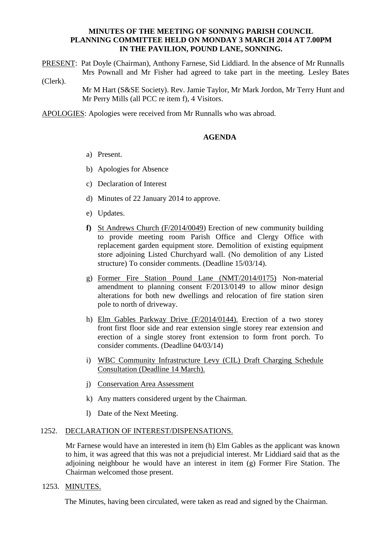## **MINUTES OF THE MEETING OF SONNING PARISH COUNCIL PLANNING COMMITTEE HELD ON MONDAY 3 MARCH 2014 AT 7.00PM IN THE PAVILION, POUND LANE, SONNING.**

PRESENT: Pat Doyle (Chairman), Anthony Farnese, Sid Liddiard. In the absence of Mr Runnalls Mrs Pownall and Mr Fisher had agreed to take part in the meeting. Lesley Bates (Clerk).

> Mr M Hart (S&SE Society). Rev. Jamie Taylor, Mr Mark Jordon, Mr Terry Hunt and Mr Perry Mills (all PCC re item f), 4 Visitors.

APOLOGIES: Apologies were received from Mr Runnalls who was abroad.

## **AGENDA**

- a) Present.
- b) Apologies for Absence
- c) Declaration of Interest
- d) Minutes of 22 January 2014 to approve.
- e) Updates.
- **f)** St Andrews Church (F/2014/0049) Erection of new community building to provide meeting room Parish Office and Clergy Office with replacement garden equipment store. Demolition of existing equipment store adjoining Listed Churchyard wall. (No demolition of any Listed structure) To consider comments. (Deadline 15/03/14).
- g) Former Fire Station Pound Lane (NMT/2014/0175) Non-material amendment to planning consent F/2013/0149 to allow minor design alterations for both new dwellings and relocation of fire station siren pole to north of driveway.
- h) Elm Gables Parkway Drive (F/2014/0144). Erection of a two storey front first floor side and rear extension single storey rear extension and erection of a single storey front extension to form front porch. To consider comments. (Deadline 04/03/14)
- i) WBC Community Infrastructure Levy (CIL) Draft Charging Schedule Consultation (Deadline 14 March).
- j) Conservation Area Assessment
- k) Any matters considered urgent by the Chairman.
- l) Date of the Next Meeting.

#### 1252. DECLARATION OF INTEREST/DISPENSATIONS.

Mr Farnese would have an interested in item (h) Elm Gables as the applicant was known to him, it was agreed that this was not a prejudicial interest. Mr Liddiard said that as the adjoining neighbour he would have an interest in item (g) Former Fire Station. The Chairman welcomed those present.

#### 1253. MINUTES.

The Minutes, having been circulated, were taken as read and signed by the Chairman.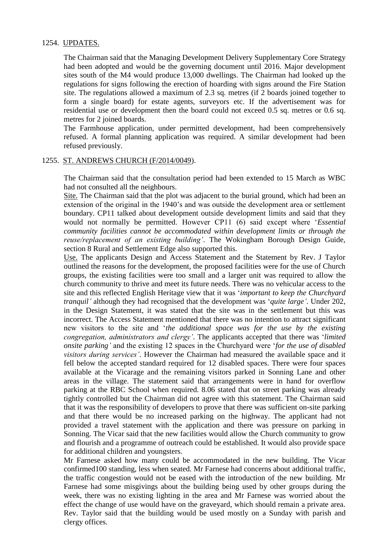## 1254. UPDATES.

The Chairman said that the Managing Development Delivery Supplementary Core Strategy had been adopted and would be the governing document until 2016. Major development sites south of the M4 would produce 13,000 dwellings. The Chairman had looked up the regulations for signs following the erection of hoarding with signs around the Fire Station site. The regulations allowed a maximum of 2.3 sq. metres (if 2 boards joined together to form a single board) for estate agents, surveyors etc. If the advertisement was for residential use or development then the board could not exceed 0.5 sq. metres or 0.6 sq. metres for 2 joined boards.

The Farmhouse application, under permitted development, had been comprehensively refused. A formal planning application was required. A similar development had been refused previously.

#### 1255. ST. ANDREWS CHURCH (F/2014/0049).

The Chairman said that the consultation period had been extended to 15 March as WBC had not consulted all the neighbours.

Site. The Chairman said that the plot was adjacent to the burial ground, which had been an extension of the original in the 1940's and was outside the development area or settlement boundary. CP11 talked about development outside development limits and said that they would not normally be permitted. However CP11 (6) said except where '*Essential community facilities cannot be accommodated within development limits or through the reuse/replacement of an existing building'*. The Wokingham Borough Design Guide, section 8 Rural and Settlement Edge also supported this.

Use. The applicants Design and Access Statement and the Statement by Rev. J Taylor outlined the reasons for the development, the proposed facilities were for the use of Church groups, the existing facilities were too small and a larger unit was required to allow the church community to thrive and meet its future needs. There was no vehicular access to the site and this reflected English Heritage view that it was '*important to keep the Churchyard tranquil'* although they had recognised that the development was '*quite large'*. Under 202, in the Design Statement, it was stated that the site was in the settlement but this was incorrect. The Access Statement mentioned that there was no intention to attract significant new visitors to the site and '*the additional space was for the use by the existing congregation, administrators and clergy'*. The applicants accepted that there was '*limited onsite parking'* and the existing 12 spaces in the Churchyard were '*for the use of disabled visitors during services'*. However the Chairman had measured the available space and it fell below the accepted standard required for 12 disabled spaces. There were four spaces available at the Vicarage and the remaining visitors parked in Sonning Lane and other areas in the village. The statement said that arrangements were in hand for overflow parking at the RBC School when required. 8.06 stated that on street parking was already tightly controlled but the Chairman did not agree with this statement. The Chairman said that it was the responsibility of developers to prove that there was sufficient on-site parking and that there would be no increased parking on the highway. The applicant had not provided a travel statement with the application and there was pressure on parking in Sonning. The Vicar said that the new facilities would allow the Church community to grow and flourish and a programme of outreach could be established. It would also provide space for additional children and youngsters.

Mr Farnese asked how many could be accommodated in the new building. The Vicar confirmed100 standing, less when seated. Mr Farnese had concerns about additional traffic, the traffic congestion would not be eased with the introduction of the new building. Mr Farnese had some misgivings about the building being used by other groups during the week, there was no existing lighting in the area and Mr Farnese was worried about the effect the change of use would have on the graveyard, which should remain a private area. Rev. Taylor said that the building would be used mostly on a Sunday with parish and clergy offices.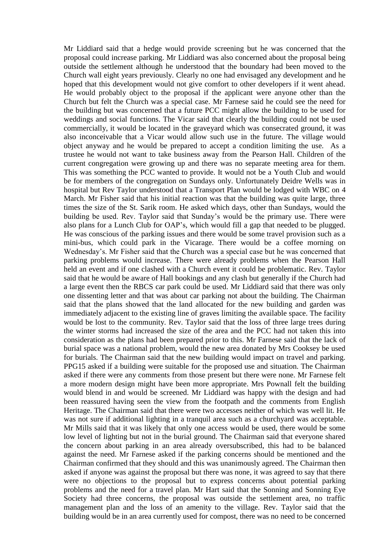Mr Liddiard said that a hedge would provide screening but he was concerned that the proposal could increase parking. Mr Liddiard was also concerned about the proposal being outside the settlement although he understood that the boundary had been moved to the Church wall eight years previously. Clearly no one had envisaged any development and he hoped that this development would not give comfort to other developers if it went ahead. He would probably object to the proposal if the applicant were anyone other than the Church but felt the Church was a special case. Mr Farnese said he could see the need for the building but was concerned that a future PCC might allow the building to be used for weddings and social functions. The Vicar said that clearly the building could not be used commercially, it would be located in the graveyard which was consecrated ground, it was also inconceivable that a Vicar would allow such use in the future. The village would object anyway and he would be prepared to accept a condition limiting the use. As a trustee he would not want to take business away from the Pearson Hall. Children of the current congregation were growing up and there was no separate meeting area for them. This was something the PCC wanted to provide. It would not be a Youth Club and would be for members of the congregation on Sundays only. Unfortunately Deidre Wells was in hospital but Rev Taylor understood that a Transport Plan would be lodged with WBC on 4 March. Mr Fisher said that his initial reaction was that the building was quite large, three times the size of the St. Sarik room. He asked which days, other than Sundays, would the building be used. Rev. Taylor said that Sunday's would be the primary use. There were also plans for a Lunch Club for OAP's, which would fill a gap that needed to be plugged. He was conscious of the parking issues and there would be some travel provision such as a mini-bus, which could park in the Vicarage. There would be a coffee morning on Wednesday's. Mr Fisher said that the Church was a special case but he was concerned that parking problems would increase. There were already problems when the Pearson Hall held an event and if one clashed with a Church event it could be problematic. Rev. Taylor said that he would be aware of Hall bookings and any clash but generally if the Church had a large event then the RBCS car park could be used. Mr Liddiard said that there was only one dissenting letter and that was about car parking not about the building. The Chairman said that the plans showed that the land allocated for the new building and garden was immediately adjacent to the existing line of graves limiting the available space. The facility would be lost to the community. Rev. Taylor said that the loss of three large trees during the winter storms had increased the size of the area and the PCC had not taken this into consideration as the plans had been prepared prior to this. Mr Farnese said that the lack of burial space was a national problem, would the new area donated by Mrs Cooksey be used for burials. The Chairman said that the new building would impact on travel and parking. PPG15 asked if a building were suitable for the proposed use and situation. The Chairman asked if there were any comments from those present but there were none. Mr Farnese felt a more modern design might have been more appropriate. Mrs Pownall felt the building would blend in and would be screened. Mr Liddiard was happy with the design and had been reassured having seen the view from the footpath and the comments from English Heritage. The Chairman said that there were two accesses neither of which was well lit. He was not sure if additional lighting in a tranquil area such as a churchyard was acceptable. Mr Mills said that it was likely that only one access would be used, there would be some low level of lighting but not in the burial ground. The Chairman said that everyone shared the concern about parking in an area already oversubscribed, this had to be balanced against the need. Mr Farnese asked if the parking concerns should be mentioned and the Chairman confirmed that they should and this was unanimously agreed. The Chairman then asked if anyone was against the proposal but there was none, it was agreed to say that there were no objections to the proposal but to express concerns about potential parking problems and the need for a travel plan. Mr Hart said that the Sonning and Sonning Eye Society had three concerns, the proposal was outside the settlement area, no traffic management plan and the loss of an amenity to the village. Rev. Taylor said that the building would be in an area currently used for compost, there was no need to be concerned